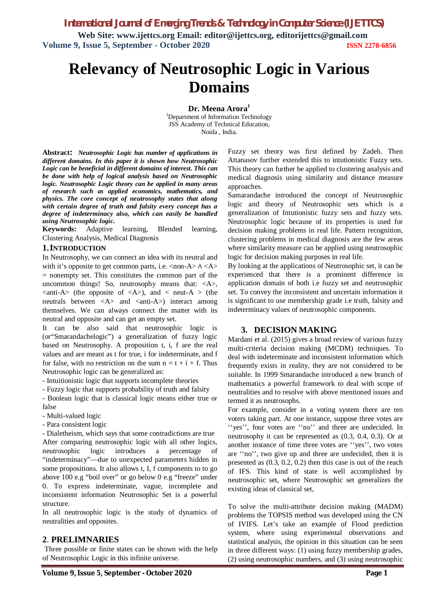*International Journal of Emerging Trends & Technology in Computer Science (IJETTCS)*

**Web Site: www.ijettcs.org Email: editor@ijettcs.org, editorijettcs@gmail.com Volume 9, Issue 5, September - October 2020 ISSN 2278-6856**

# **Relevancy of Neutrosophic Logic in Various Domains**

**Dr. Meena Arora<sup>1</sup>** <sup>1</sup>Department of Information Technology JSS Academy of Technical Education, Noida , India.

**Abstract:** *Neutrosophic Logic has number of applications in different domains. In this paper it is shown how Neutrosophic Logic can be beneficial in different domains of interest. This can be done with help of logical analysis based on Neutrosophic logic. Neutrosophic Logic theory can be applied in many areas of research such as applied economics, mathematics, and physics. The core concept of neutrosophy states that along with certain degree of truth and falsity every concept has a degree of indeterminacy also, which can easily be handled using Neutrosophic logic.*

**Keywords:** Adaptive learning, Blended learning, Clustering Analysis, Medical Diagnosis

#### **1.INTRODUCTION**

In Neutrosophy, we can connect an idea with its neutral and with it's opposite to get common parts, i.e.  $\langle$  non-A $\rangle$   $\land$   $\langle$  A $\rangle$  $=$  nonempty set. This constitutes the common part of the uncommon things! So, neutrosophy means that:  $\langle A \rangle$ ,  $\langle$ anti-A $\rangle$  (the opposite of  $\langle$ A $\rangle$ ), and  $\langle$  neut-A  $\rangle$  (the neutrals between  $\langle A \rangle$  and  $\langle$  anti-A $\rangle$  interact among themselves. We can always connect the matter with its neutral and opposite and can get an empty set.

It can be also said that neutrosophic logic is (or"Smarandachelogic") a generalization of fuzzy logic based on Neutrosophy. A proposition t, i, f are the real values and are meant as t for true, i for indeterminate, and f for false, with no restriction on the sum  $n = t + i + f$ . Thus Neutrosophic logic can be generalized as:

- Intuitionistic logic that supports incomplete theories

- Fuzzy logic that supports probability of truth and falsity

- Boolean logic that is classical logic means either true or false

- Multi-valued logic
- Para consistent logic

- Dialetheism, which says that some contradictions are true After comparing neutrosophic logic with all other logics, neutrosophic logic introduces a percentage of "indeterminacy"—due to unexpected parameters hidden in some propositions. It also allows t, I, f components to to go above 100 e.g "boil over" or go below 0 e.g "freeze" under 0. To express indeterminate, vague, incomplete and inconsistent information Neutrosophic Set is a powerful structure.

In all neutrosophic logic is the study of dynamics of neutralities and opposites.

#### **2**. **PRELIMNARIES**

Three possible or finite states can be shown with the help of Neutrosophic Logic in this infinite universe.

Fuzzy set theory was first defined by Zadeh. Then Attanasov further extended this to intutionistic Fuzzy sets. This theory can further be applied to clustering analysis and medical diagnosis using similarity and distance measure approaches.

Samarandache introduced the concept of Neutrosophic logic and theory of Neutrosophic sets which is a generalization of Intutionistic fuzzy sets and fuzzy sets. Neutrosophic logic because of its properties is used for decision making problems in real life. Pattern recognition, clustering problems in medical diagnosis are the few areas where similarity measure can be applied using neutrosophic logic for decision making purposes in real life.

By looking at the applications of Neutrosophic set, it can be experienced that there is a prominent difference in application domain of both i.e fuzzy set and neutrosophic set. To convey the inconsistent and uncertain information it is significant to use membership grade i.e truth, falsity and indeterminacy values of neutrosophic components.

#### **3. DECISION MAKING**

Mardani et al. (2015) gives a broad review of various fuzzy multi-criteria decision making (MCDM) techniques. To deal with indeterminate and inconsistent information which frequently exists in reality, they are not considered to be suitable. In 1999 Smarandache introduced a new branch of mathematics a powerful framework to deal with scope of neutralities and to resolve with above mentioned issues and termed it as neutrosophs.

For example, consider in a voting system there are ten voters taking part. At one instance, suppose three votes are ''yes'', four votes are ''no'' and three are undecided. In neutrosophy it can be represented as (0.3, 0.4, 0.3). Or at another instance of time three votes are ''yes'', two votes are ''no'', two give up and three are undecided, then it is presented as (0.3, 0.2, 0.2) then this case is out of the reach of IFS. This kind of state is well accomplished by neutrosophic set, where Neutrosophic set generalizes the existing ideas of classical set,

To solve the multi-attribute decision making (MADM) problems the TOPSIS method was developed using the CN of IVIFS. Let's take an example of Flood prediction system, where using experimental observations and statistical analysis, the opinion in this situation can be seen in three different ways: (1) using fuzzy membership grades, (2) using neutrosophic numbers, and (3) using neutrosophic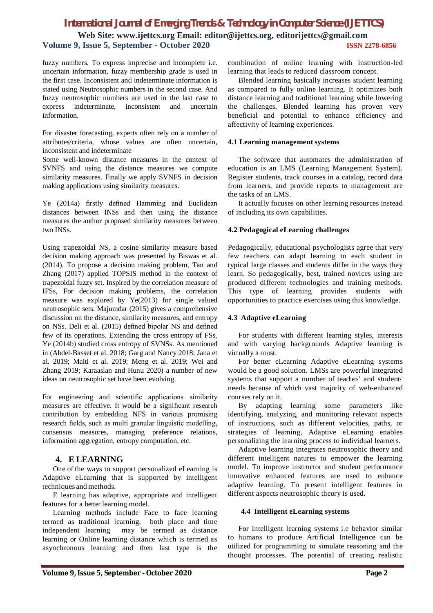# *International Journal of Emerging Trends & Technology in Computer Science (IJETTCS)* **Web Site: www.ijettcs.org Email: editor@ijettcs.org, editorijettcs@gmail.com Volume 9, Issue 5, September - October 2020 ISSN 2278-6856**

fuzzy numbers. To express imprecise and incomplete i.e. uncertain information, fuzzy membership grade is used in the first case. Inconsistent and indeterminate information is stated using Neutrosophic numbers in the second case. And fuzzy neutrosophic numbers are used in the last case to express indeterminate, inconsistent and uncertain information.

For disaster forecasting, experts often rely on a number of attributes/criteria, whose values are often uncertain, inconsistent and indeterminate

Some well-known distance measures in the context of SVNFS and using the distance measures we compute similarity measures. Finally we apply SVNFS in decision making applications using similarity measures.

Ye (2014a) firstly defined Hamming and Euclidean distances between INSs and then using the distance measures the author proposed similarity measures between two INSs.

Using trapezoidal NS, a cosine similarity measure based decision making approach was presented by Biswas et al. (2014). To propose a decision making problem, Tan and Zhang (2017) applied TOPSIS method in the context of trapezoidal fuzzy set. Inspired by the correlation measure of IFSs, For decision making problems, the correlation measure was explored by Ye(2013) for single valued neutrosophic sets. Majumdar (2015) gives a comprehensive discussion on the distance, similarity measures, and entropy on NSs. Deli et al. (2015) defined bipolar NS and defined few of its operations. Extending the cross entropy of FSs, Ye (2014b) studied cross entropy of SVNSs. As mentioned in (Abdel-Basset et al. 2018; Garg and Nancy 2018; Jana et al. 2019; Maiti et al. 2019; Meng et al. 2019; Wei and Zhang 2019; Karaaslan and Hunu 2020) a number of new ideas on neutrosophic set have been evolving.

For engineering and scientific applications similarity measures are effective. It would be a significant research contribution by embedding NFS in various promising research fields, such as multi granular linguistic modelling, consensus measures, managing preference relations, information aggregation, entropy computation, etc.

# **4. E LEARNING**

One of the ways to support personalized eLearning is Adaptive eLearning that is supported by intelligent techniques and methods.

E learning has adaptive, appropriate and intelligent features for a better learning model.

Learning methods include Face to face learning termed as traditional learning, both place and time independent learning may be termed as distance learning or Online learning distance which is termed as asynchronous learning and then last type is the

combination of online learning with instruction-led learning that leads to reduced classroom concept.

Blended learning basically increases student learning as compared to fully online learning. It optimizes both distance learning and traditional learning while lowering the challenges. Blended learning has proven very beneficial and potential to enhance efficiency and affectivity of learning experiences.

#### **4.1 Learning managementsystems**

The software that automates the administration of education is an LMS (Learning Management System). Register students, track courses in a catalog, record data from learners, and provide reports to management are the tasks of an LMS.

It actually focuses on other learning resources instead of including its own capabilities.

#### **4.2 Pedagogical eLearning challenges**

Pedagogically, educational psychologists agree that very few teachers can adapt learning to each student in typical large classes and students differ in the ways they learn. So pedagogically, best, trained novices using are produced different technologies and training methods. This type of learning provides students with opportunities to practice exercises using this knowledge.

#### **4.3 Adaptive eLearning**

For students with different learning styles, interests and with varying backgrounds Adaptive learning is virtually a must.

For better eLearning Adaptive eLearning systems would be a good solution. LMSs are powerful integrated systems that support a number of teachers' and students' needs because of which vast majority of web-enhanced courses rely on it.

By adapting learning some parameters like identifying, analyzing, and monitoring relevant aspects of instructions, such as different velocities, paths, or strategies of learning, Adaptive eLearning enables personalizing the learning process to individual learners.

Adaptive learning integrates neutrosophic theory and different intelligent natures to empower the learning model. To improve instructor and student performance innovative enhanced features are used to enhance adaptive learning. To present intelligent features in different aspects neutrosophic theory is used.

#### **4.4 Intelligent eLearning systems**

For Intelligent learning systems i.e behavior similar to humans to produce Artificial Intelligence can be utilized for programming to simulate reasoning and the thought processes. The potential of creating realistic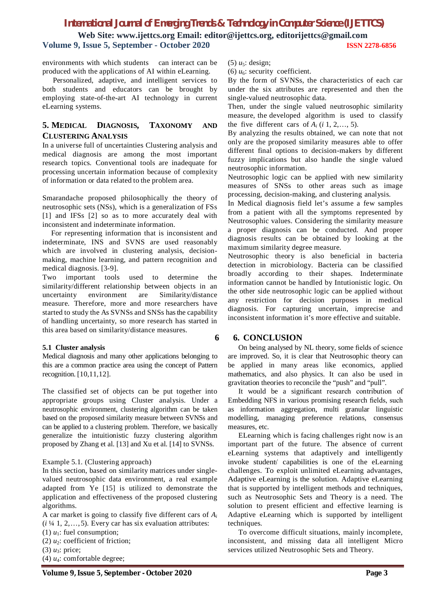# *International Journal of Emerging Trends & Technology in Computer Science (IJETTCS)* **Web Site: www.ijettcs.org Email: editor@ijettcs.org, editorijettcs@gmail.com Volume 9, Issue 5, September - October 2020 ISSN 2278-6856**

environments with which students can interact can be produced with the applications of AI within eLearning.

Personalized, adaptive, and intelligent services to both students and educators can be brought by employing state-of-the-art AI technology in current eLearning systems.

# **5. MEDICAL DIAGNOSIS, TAXONOMY AND CLUSTERING ANALYSIS**

In a universe full of uncertainties Clustering analysis and medical diagnosis are among the most important research topics. Conventional tools are inadequate for processing uncertain information because of complexity of information or data related to the problem area.

Smarandache proposed philosophically the theory of neutrosophic sets (NSs), which is a generalization of FSs [1] and IFSs [2] so as to more accurately deal with inconsistent and indeterminate information.

For representing information that is inconsistent and indeterminate, INS and SVNS are used reasonably which are involved in clustering analysis, decisionmaking, machine learning, and pattern recognition and medical diagnosis. [3-9].

Two important tools used to determine the similarity/different relationship between objects in an uncertainty environment are Similarity/distance measure. Therefore, more and more researchers have started to study the As SVNSs and SNSs has the capability of handling uncertainty, so more research has started in this area based on similarity/distance measures.

#### **5.1 Cluster analysis**

Medical diagnosis and many other applications belonging to this are a common practice area using the concept of Pattern recognition. [10,11,12].

The classified set of objects can be put together into appropriate groups using Cluster analysis. Under a neutrosophic environment, clustering algorithm can be taken based on the proposed similarity measure between SVNSs and can be applied to a clustering problem. Therefore, we basically generalize the intuitionistic fuzzy clustering algorithm proposed by Zhang et al. [13] and Xu et al. [14] to SVNSs.

#### Example 5.1. (Clustering approach)

In this section, based on similarity matrices under singlevalued neutrosophic data environment, a real example adapted from Ye [15] is utilized to demonstrate the application and effectiveness of the proposed clustering algorithms.

A car market is going to classify five different cars of *A<sup>i</sup>*  $(i \frac{1}{4} 1, 2, \ldots, 5)$ . Every car has six evaluation attributes:

(1)  $u_1$ : fuel consumption;

- (2)  $u_2$ : coefficient of friction;
- $(3)$   $u_3$ : price;
- (4) *u*4: comfortable degree;

 $(5)$   $u<sub>5</sub>$ : design;

(6)  $u_6$ : security coefficient.

By the form of SVNSs, the characteristics of each car under the six attributes are represented and then the single-valued neutrosophic data.

Then, under the single valued neutrosophic similarity measure, the developed algorithm is used to classify the five different cars of  $A_i$  ( $i$  1, 2, ..., 5).

By analyzing the results obtained, we can note that not only are the proposed similarity measures able to offer different final options to decision-makers by different fuzzy implications but also handle the single valued neutrosophic information.

Neutrosophic logic can be applied with new similarity measures of SNSs to other areas such as image processing, decision-making, and clustering analysis.

In Medical diagnosis field let's assume a few samples from a patient with all the symptoms represented by Neutrosophic values. Considering the similarity measure a proper diagnosis can be conducted. And proper diagnosis results can be obtained by looking at the maximum similarity degree measure.

Neutrosophic theory is also beneficial in bacteria detection in microbiology. Bacteria can be classified broadly according to their shapes. Indeterminate information cannot be handled by Intutionistic logic. On the other side neutrosophic logic can be applied without any restriction for decision purposes in medical diagnosis. For capturing uncertain, imprecise and inconsistent information it's more effective and suitable.

# **6 6. CONCLUSION**

On being analysed by NL theory, some fields of science are improved. So, it is clear that Neutrosophic theory can be applied in many areas like economics, applied mathematics, and also physics. It can also be used in gravitation theories to reconcile the "push" and "pull".

It would be a significant research contribution of Embedding NFS in various promising research fields, such as information aggregation, multi granular linguistic modelling, managing preference relations, consensus measures, etc.

ELearning which is facing challenges right now is an important part of the future. The absence of current eLearning systems that adaptively and intelligently invoke students' capabilities is one of the eLearning challenges. To exploit unlimited eLearning advantages, Adaptive eLearning is the solution. Adaptive eLearning that is supported by intelligent methods and techniques, such as Neutrosophic Sets and Theory is a need. The solution to present efficient and effective learning is Adaptive eLearning which is supported by intelligent techniques.

To overcome difficult situations, mainly incomplete, inconsistent, and missing data all intelligent Micro services utilized Neutrosophic Sets and Theory.